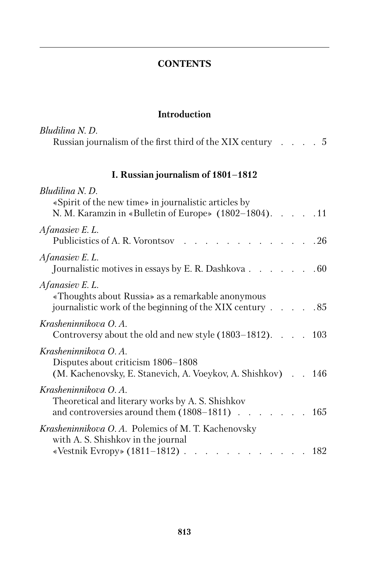## **CONTENTS**

## **Introduction**

| Bludilina N.D.<br>Russian journalism of the first third of the XIX century 5                                                        |  |  |
|-------------------------------------------------------------------------------------------------------------------------------------|--|--|
| I. Russian journalism of 1801-1812                                                                                                  |  |  |
| Bludilina N.D.<br>«Spirit of the new time» in journalistic articles by<br>N. M. Karamzin in «Bulletin of Europe» $(1802-1804)$ . 11 |  |  |
| Afanasiev E.L.<br>Publicistics of A. R. Vorontsov 26                                                                                |  |  |
| Afanasiev E.L.<br>Journalistic motives in essays by E. R. Dashkova 60                                                               |  |  |
| Afanasiev E.L.<br>«Thoughts about Russia» as a remarkable anonymous<br>journalistic work of the beginning of the XIX century 85     |  |  |
| Krasheninnikova O.A.<br>Controversy about the old and new style (1803–1812). 103                                                    |  |  |
| Krasheninnikova O.A.<br>Disputes about criticism 1806-1808<br>(M. Kachenovsky, E. Stanevich, A. Voeykov, A. Shishkov) 146           |  |  |
| Krasheninnikova O.A.<br>Theoretical and literary works by A. S. Shishkov<br>and controversies around them $(1808-1811)$ 165         |  |  |
| Krasheninnikova O. A. Polemics of M. T. Kachenovsky<br>with A. S. Shishkov in the journal<br>«Vestnik Evropy» (1811–1812) 182       |  |  |